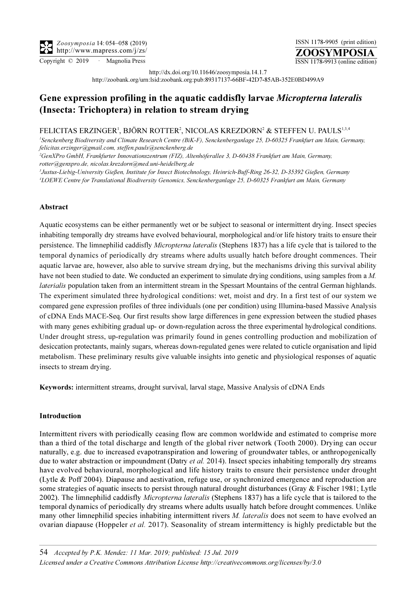ZOOSYMPOSIA ISSN 1178-9905 (print edition) Copyright © 2019 · Magnolia Press ISSN 1178-9913 (online edition)

http://dx.doi.org/10.11646/zoosymposia.14.1.7

http://zoobank.org/urn:lsid:zoobank.org:pub:89317137-66BF-42D7-85AB-352E0BD499A9

# Gene expression profiling in the aquatic caddisfly larvae Micropterna lateralis (Insecta: Trichoptera) in relation to stream drying

# FELICITAS ERZINGER<sup>1</sup>, BJÖRN ROTTER<sup>2</sup>, NICOLAS KREZDORN<sup>2</sup> & STEFFEN U. PAULS<sup>1,3,4</sup>

1 Senckenberg Biodiversity and Climate Research Centre (BiK-F), Senckenberganlage 25, D-60325 Frankfurt am Main, Germany, felicitas.erzinger@gmail.com, steffen.pauls@senckenberg.de

2 GenXPro GmbH, Frankfurter Innovationszentrum (FIZ), Altenhöferallee 3, D-60438 Frankfurt am Main, Germany, rotter@genxpro.de, nicolas.krezdorn@med.uni-heidelberg.de

3 Justus-Liebig-University Gießen, Institute for Insect Biotechnology, Heinrich-Buff-Ring 26-32, D-35392 Gießen, Germany 4 LOEWE Centre for Translational Biodiversity Genomics, Senckenberganlage 25, D-60325 Frankfurt am Main, Germany

## Abstract

Aquatic ecosystems can be either permanently wet or be subject to seasonal or intermittent drying. Insect species inhabiting temporally dry streams have evolved behavioural, morphological and/or life history traits to ensure their persistence. The limnephilid caddisfly Micropterna lateralis (Stephens 1837) has a life cycle that is tailored to the temporal dynamics of periodically dry streams where adults usually hatch before drought commences. Their aquatic larvae are, however, also able to survive stream drying, but the mechanisms driving this survival ability have not been studied to date. We conducted an experiment to simulate drying conditions, using samples from a M. laterialis population taken from an intermittent stream in the Spessart Mountains of the central German highlands. The experiment simulated three hydrological conditions: wet, moist and dry. In a first test of our system we compared gene expression profiles of three individuals (one per condition) using Illumina-based Massive Analysis of cDNA Ends MACE-Seq. Our first results show large differences in gene expression between the studied phases with many genes exhibiting gradual up- or down-regulation across the three experimental hydrological conditions. Under drought stress, up-regulation was primarily found in genes controlling production and mobilization of desiccation protectants, mainly sugars, whereas down-regulated genes were related to cuticle organisation and lipid metabolism. These preliminary results give valuable insights into genetic and physiological responses of aquatic insects to stream drying.

Keywords: intermittent streams, drought survival, larval stage, Massive Analysis of cDNA Ends

### Introduction

Intermittent rivers with periodically ceasing flow are common worldwide and estimated to comprise more than a third of the total discharge and length of the global river network (Tooth 2000). Drying can occur naturally, e.g. due to increased evapotranspiration and lowering of groundwater tables, or anthropogenically due to water abstraction or impoundment (Datry *et al.* 2014). Insect species inhabiting temporally dry streams have evolved behavioural, morphological and life history traits to ensure their persistence under drought (Lytle & Poff 2004). Diapause and aestivation, refuge use, or synchronized emergence and reproduction are some strategies of aquatic insects to persist through natural drought disturbances (Gray & Fischer 1981; Lytle 2002). The limnephilid caddisfly *Micropterna lateralis* (Stephens 1837) has a life cycle that is tailored to the temporal dynamics of periodically dry streams where adults usually hatch before drought commences. Unlike many other limnephilid species inhabiting intermittent rivers M. *lateralis* does not seem to have evolved an ovarian diapause (Hoppeler *et al.* 2017). Seasonality of stream intermittency is highly predictable but the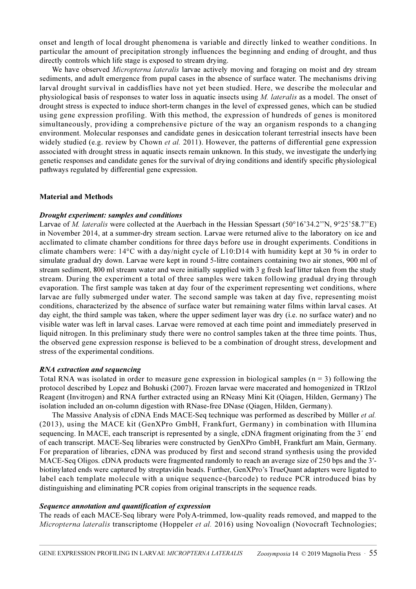onset and length of local drought phenomena is variable and directly linked to weather conditions. In particular the amount of precipitation strongly influences the beginning and ending of drought, and thus directly controls which life stage is exposed to stream drying.

We have observed *Micropterna lateralis* larvae actively moving and foraging on moist and dry stream sediments, and adult emergence from pupal cases in the absence of surface water. The mechanisms driving larval drought survival in caddisflies have not yet been studied. Here, we describe the molecular and physiological basis of responses to water loss in aquatic insects using M. lateralis as a model. The onset of drought stress is expected to induce short-term changes in the level of expressed genes, which can be studied using gene expression profiling. With this method, the expression of hundreds of genes is monitored simultaneously, providing a comprehensive picture of the way an organism responds to a changing environment. Molecular responses and candidate genes in desiccation tolerant terrestrial insects have been widely studied (e.g. review by Chown *et al.* 2011). However, the patterns of differential gene expression associated with drought stress in aquatic insects remain unknown. In this study, we investigate the underlying genetic responses and candidate genes for the survival of drying conditions and identify specific physiological pathways regulated by differential gene expression.

### Material and Methods

#### Drought experiment: samples and conditions

Larvae of *M. lateralis* were collected at the Auerbach in the Hessian Spessart (50°16'34.2"N, 9°25'58.7"E) in November 2014, at a summer-dry stream section. Larvae were returned alive to the laboratory on ice and acclimated to climate chamber conditions for three days before use in drought experiments. Conditions in climate chambers were: 14°C with a day/night cycle of L10:D14 with humidity kept at 30 % in order to simulate gradual dry down. Larvae were kept in round 5-litre containers containing two air stones, 900 ml of stream sediment, 800 ml stream water and were initially supplied with 3 g fresh leaf litter taken from the study stream. During the experiment a total of three samples were taken following gradual drying through evaporation. The first sample was taken at day four of the experiment representing wet conditions, where larvae are fully submerged under water. The second sample was taken at day five, representing moist conditions, characterized by the absence of surface water but remaining water films within larval cases. At day eight, the third sample was taken, where the upper sediment layer was dry (i.e. no surface water) and no visible water was left in larval cases. Larvae were removed at each time point and immediately preserved in liquid nitrogen. In this preliminary study there were no control samples taken at the three time points. Thus, the observed gene expression response is believed to be a combination of drought stress, development and stress of the experimental conditions.

#### RNA extraction and sequencing

Total RNA was isolated in order to measure gene expression in biological samples ( $n = 3$ ) following the protocol described by Lopez and Bohuski (2007). Frozen larvae were macerated and homogenized in TRIzol Reagent (Invitrogen) and RNA further extracted using an RNeasy Mini Kit (Qiagen, Hilden, Germany) The isolation included an on-column digestion with RNase-free DNase (Qiagen, Hilden, Germany).

The Massive Analysis of cDNA Ends MACE-Seq technique was performed as described by Müller *et al.* (2013), using the MACE kit (GenXPro GmbH, Frankfurt, Germany) in combination with Illumina sequencing. In MACE, each transcript is represented by a single, cDNA fragment originating from the 3<sup>'</sup> end of each transcript. MACE-Seq libraries were constructed by GenXPro GmbH, Frankfurt am Main, Germany. For preparation of libraries, cDNA was produced by first and second strand synthesis using the provided MACE-Seq Oligos. cDNA products were fragmented randomly to reach an average size of 250 bps and the 3'biotinylated ends were captured by streptavidin beads. Further, GenXPro's TrueQuant adapters were ligated to label each template molecule with a unique sequence-(barcode) to reduce PCR introduced bias by distinguishing and eliminating PCR copies from original transcripts in the sequence reads.

#### Sequence annotation and quantification of expression

The reads of each MACE-Seq library were PolyA-trimmed, low-quality reads removed, and mapped to the Micropterna lateralis transcriptome (Hoppeler et al. 2016) using Novoalign (Novocraft Technologies;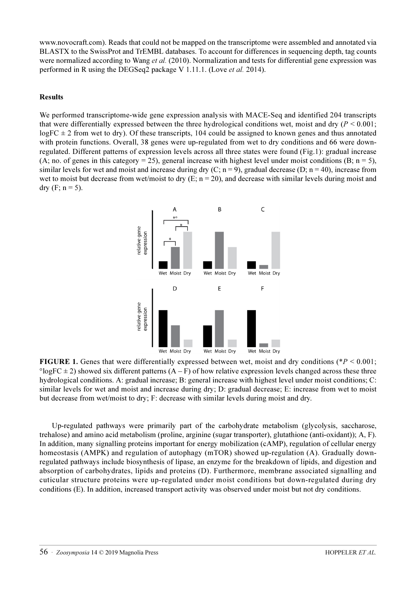www.novocraft.com). Reads that could not be mapped on the transcriptome were assembled and annotated via BLASTX to the SwissProt and TrEMBL databases. To account for differences in sequencing depth, tag counts were normalized according to Wang *et al.* (2010). Normalization and tests for differential gene expression was performed in R using the DEGSeq2 package V 1.11.1. (Love et al. 2014).

# Results

We performed transcriptome-wide gene expression analysis with MACE-Seq and identified 204 transcripts that were differentially expressed between the three hydrological conditions wet, moist and dry ( $P < 0.001$ ;  $logFC \pm 2$  from wet to dry). Of these transcripts, 104 could be assigned to known genes and thus annotated with protein functions. Overall, 38 genes were up-regulated from wet to dry conditions and 66 were downregulated. Different patterns of expression levels across all three states were found (Fig.1): gradual increase (A; no. of genes in this category = 25), general increase with highest level under moist conditions (B;  $n = 5$ ), similar levels for wet and moist and increase during dry (C;  $n = 9$ ), gradual decrease (D;  $n = 40$ ), increase from wet to moist but decrease from wet/moist to dry  $(E; n = 20)$ , and decrease with similar levels during moist and dry (F;  $n = 5$ ).



FIGURE 1. Genes that were differentially expressed between wet, moist and dry conditions ( $P < 0.001$ ;  $^{\circ}$ logFC  $\pm$  2) showed six different patterns (A – F) of how relative expression levels changed across these three hydrological conditions. A: gradual increase; B: general increase with highest level under moist conditions; C: similar levels for wet and moist and increase during dry; D: gradual decrease; E: increase from wet to moist but decrease from wet/moist to dry; F: decrease with similar levels during moist and dry.

Up-regulated pathways were primarily part of the carbohydrate metabolism (glycolysis, saccharose, trehalose) and amino acid metabolism (proline, arginine (sugar transporter), glutathione (anti-oxidant)); A, F). In addition, many signalling proteins important for energy mobilization (cAMP), regulation of cellular energy homeostasis (AMPK) and regulation of autophagy (mTOR) showed up-regulation (A). Gradually downregulated pathways include biosynthesis of lipase, an enzyme for the breakdown of lipids, and digestion and absorption of carbohydrates, lipids and proteins (D). Furthermore, membrane associated signalling and cuticular structure proteins were up-regulated under moist conditions but down-regulated during dry conditions (E). In addition, increased transport activity was observed under moist but not dry conditions.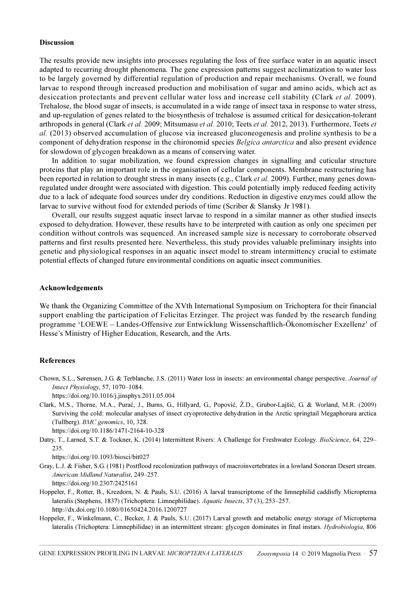#### Discussion

The results provide new insights into processes regulating the loss of free surface water in an aquatic insect adapted to recurring drought phenomena. The gene expression patterns suggest acclimatization to water loss to be largely governed by differential regulation of production and repair mechanisms. Overall, we found larvae to respond through increased production and mobilisation of sugar and amino acids, which act as desiccation protectants and prevent cellular water loss and increase cell stability (Clark et al. 2009). Trehalose, the blood sugar of insects, is accumulated in a wide range of insect taxa in response to water stress, and up-regulation of genes related to the biosynthesis of trehalose is assumed critical for desiccation-tolerant arthropods in general (Clark et al. 2009; Mitsumasu et al. 2010; Teets et al. 2012, 2013). Furthermore, Teets et al. (2013) observed accumulation of glucose via increased gluconeogenesis and proline synthesis to be a component of dehydration response in the chironomid species Belgica antarctica and also present evidence for slowdown of glycogen breakdown as a means of conserving water.

In addition to sugar mobilization, we found expression changes in signalling and cuticular structure proteins that play an important role in the organisation of cellular components. Membrane restructuring has been reported in relation to drought stress in many insects (e.g., Clark et al. 2009). Further, many genes downregulated under drought were associated with digestion. This could potentially imply reduced feeding activity due to a lack of adequate food sources under dry conditions. Reduction in digestive enzymes could allow the larvae to survive without food for extended periods of time (Scriber & Slansky Jr 1981).

Overall, our results suggest aquatic insect larvae to respond in a similar manner as other studied insects exposed to dehydration. However, these results have to be interpreted with caution as only one specimen per condition without controls was sequenced. An increased sample size is necessary to corroborate observed patterns and first results presented here. Nevertheless, this study provides valuable preliminary insights into genetic and physiological responses in an aquatic insect model to stream intermittency crucial to estimate potential effects of changed future environmental conditions on aquatic insect communities.

#### Acknowledgements

We thank the Organizing Committee of the XVth International Symposium on Trichoptera for their financial support enabling the participation of Felicitas Erzinger. The project was funded by the research funding programme 'LOEWE – Landes-Offensive zur Entwicklung Wissenschaftlich-Ökonomischer Exzellenz' of Hesse's Ministry of Higher Education, Research, and the Arts.

#### References

Chown, S.L., Sørensen, J.G. & Terblanche, J.S. (2011) Water loss in insects: an environmental change perspective. Journal of Insect Physiology, 57, 1070–1084.

https://doi.org/10.1016/j.jinsphys.2011.05.004

Clark, M.S., Thorne, M.A., Purać, J., Burns, G., Hillyard, G., Popović, Ž.D., Grubor-Lajšić, G. & Worland, M.R. (2009) Surviving the cold: molecular analyses of insect cryoprotective dehydration in the Arctic springtail Megaphorura arctica (Tullberg). BMC genomics, 10, 328.

https://doi.org/10.1186/1471-2164-10-328

Datry, T., Larned, S.T. & Tockner, K. (2014) Intermittent Rivers: A Challenge for Freshwater Ecology. BioScience, 64, 229– 235.

https://doi.org/10.1093/biosci/bit027

- Gray, L.J. & Fisher, S.G. (1981) Postflood recolonization pathways of macroinvertebrates in a lowland Sonoran Desert stream. American Midland Naturalist, 249–257. https://doi.org/10.2307/2425161
- Hoppeler, F., Rotter, B., Krezdorn, N. & Pauls, S.U. (2016) A larval transcriptome of the limnephilid caddisfly Micropterna lateralis (Stephens, 1837) (Trichoptera: Limnephilidae). Aquatic Insects, 37 (3), 253–257. http://dx.doi.org/10.1080/01650424.2016.1200727
- Hoppeler, F., Winkelmann, C., Becker, J. & Pauls, S.U. (2017) Larval growth and metabolic energy storage of Micropterna lateralis (Trichoptera: Limnephilidae) in an intermittent stream: glycogen dominates in final instars. Hydrobiologia, 806